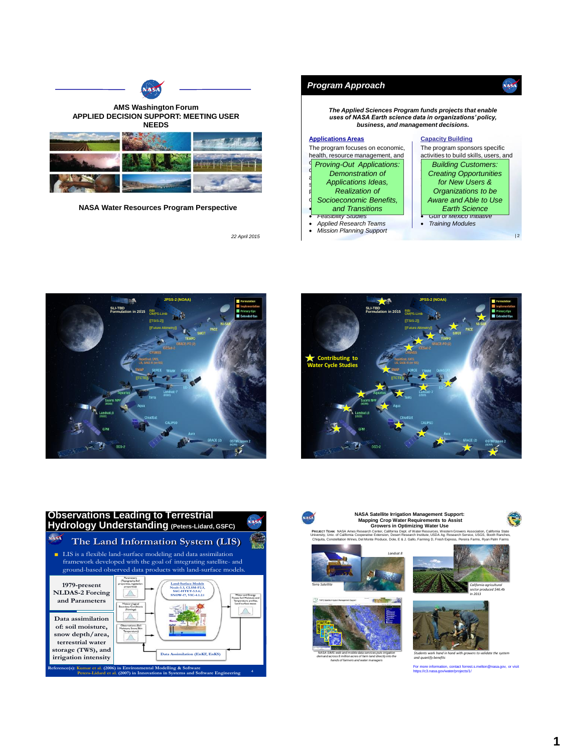

**NASA Water Resources Program Perspective**

*22 April 2015*











**NASA Satellite Irrigation Management Support: Mapping Crop Water Requirements to Assist** 



**Growers in Optimizing Water Use PROJECT TEAM:** NASA Ames Research Center, California Dept. of Water Resources, Western Growers Association, California State University, Univ. of California Cooperative Extension, Desert Research Institute, USDA Ag. Research Service, USGS, Booth Ranches, Chiquita, Constellation Wines, Del Monte Produce, Dole, E & J. Gallo, Farming D, Fresh Express, Pereira Farms, Ryan Palm Farms







*California agricultural sector produced \$46.4b In 2013*



*Students work hand in hand with growers to validate the system and quantify benefits*

For more information, contact forrest.s.melton@nasa.gov, or visit https://c3.nasa.gov/water/projects/1/